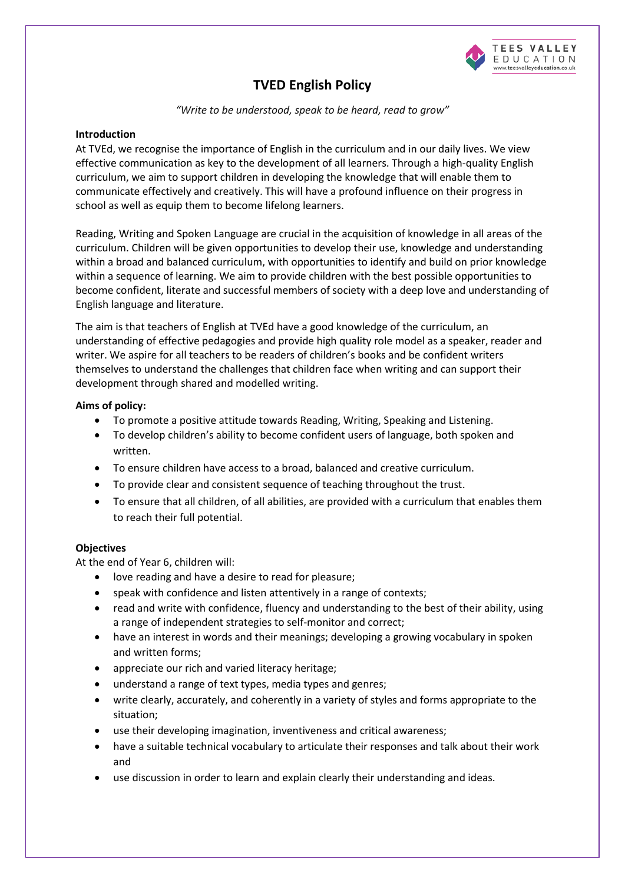

# **TVED English Policy**

*"Write to be understood, speak to be heard, read to grow"*

# **Introduction**

At TVEd, we recognise the importance of English in the curriculum and in our daily lives. We view effective communication as key to the development of all learners. Through a high-quality English curriculum, we aim to support children in developing the knowledge that will enable them to communicate effectively and creatively. This will have a profound influence on their progress in school as well as equip them to become lifelong learners.

Reading, Writing and Spoken Language are crucial in the acquisition of knowledge in all areas of the curriculum. Children will be given opportunities to develop their use, knowledge and understanding within a broad and balanced curriculum, with opportunities to identify and build on prior knowledge within a sequence of learning. We aim to provide children with the best possible opportunities to become confident, literate and successful members of society with a deep love and understanding of English language and literature.

The aim is that teachers of English at TVEd have a good knowledge of the curriculum, an understanding of effective pedagogies and provide high quality role model as a speaker, reader and writer. We aspire for all teachers to be readers of children's books and be confident writers themselves to understand the challenges that children face when writing and can support their development through shared and modelled writing.

# **Aims of policy:**

- To promote a positive attitude towards Reading, Writing, Speaking and Listening.
- To develop children's ability to become confident users of language, both spoken and written.
- To ensure children have access to a broad, balanced and creative curriculum.
- To provide clear and consistent sequence of teaching throughout the trust.
- To ensure that all children, of all abilities, are provided with a curriculum that enables them to reach their full potential.

## **Objectives**

At the end of Year 6, children will:

- love reading and have a desire to read for pleasure;
- speak with confidence and listen attentively in a range of contexts;
- read and write with confidence, fluency and understanding to the best of their ability, using a range of independent strategies to self-monitor and correct;
- have an interest in words and their meanings; developing a growing vocabulary in spoken and written forms;
- appreciate our rich and varied literacy heritage;
- understand a range of text types, media types and genres;
- write clearly, accurately, and coherently in a variety of styles and forms appropriate to the situation;
- use their developing imagination, inventiveness and critical awareness;
- have a suitable technical vocabulary to articulate their responses and talk about their work and
- use discussion in order to learn and explain clearly their understanding and ideas.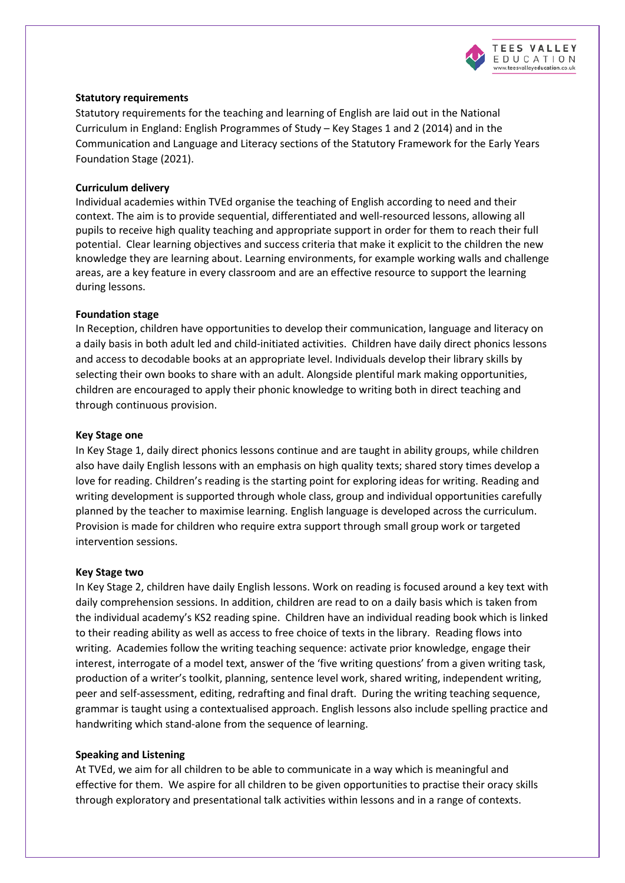

## **Statutory requirements**

Statutory requirements for the teaching and learning of English are laid out in the National Curriculum in England: English Programmes of Study – Key Stages 1 and 2 (2014) and in the Communication and Language and Literacy sections of the Statutory Framework for the Early Years Foundation Stage (2021).

#### **Curriculum delivery**

Individual academies within TVEd organise the teaching of English according to need and their context. The aim is to provide sequential, differentiated and well-resourced lessons, allowing all pupils to receive high quality teaching and appropriate support in order for them to reach their full potential. Clear learning objectives and success criteria that make it explicit to the children the new knowledge they are learning about. Learning environments, for example working walls and challenge areas, are a key feature in every classroom and are an effective resource to support the learning during lessons.

## **Foundation stage**

In Reception, children have opportunities to develop their communication, language and literacy on a daily basis in both adult led and child-initiated activities. Children have daily direct phonics lessons and access to decodable books at an appropriate level. Individuals develop their library skills by selecting their own books to share with an adult. Alongside plentiful mark making opportunities, children are encouraged to apply their phonic knowledge to writing both in direct teaching and through continuous provision.

#### **Key Stage one**

In Key Stage 1, daily direct phonics lessons continue and are taught in ability groups, while children also have daily English lessons with an emphasis on high quality texts; shared story times develop a love for reading. Children's reading is the starting point for exploring ideas for writing. Reading and writing development is supported through whole class, group and individual opportunities carefully planned by the teacher to maximise learning. English language is developed across the curriculum. Provision is made for children who require extra support through small group work or targeted intervention sessions.

#### **Key Stage two**

In Key Stage 2, children have daily English lessons. Work on reading is focused around a key text with daily comprehension sessions. In addition, children are read to on a daily basis which is taken from the individual academy's KS2 reading spine. Children have an individual reading book which is linked to their reading ability as well as access to free choice of texts in the library. Reading flows into writing. Academies follow the writing teaching sequence: activate prior knowledge, engage their interest, interrogate of a model text, answer of the 'five writing questions' from a given writing task, production of a writer's toolkit, planning, sentence level work, shared writing, independent writing, peer and self-assessment, editing, redrafting and final draft. During the writing teaching sequence, grammar is taught using a contextualised approach. English lessons also include spelling practice and handwriting which stand-alone from the sequence of learning.

#### **Speaking and Listening**

At TVEd, we aim for all children to be able to communicate in a way which is meaningful and effective for them. We aspire for all children to be given opportunities to practise their oracy skills through exploratory and presentational talk activities within lessons and in a range of contexts.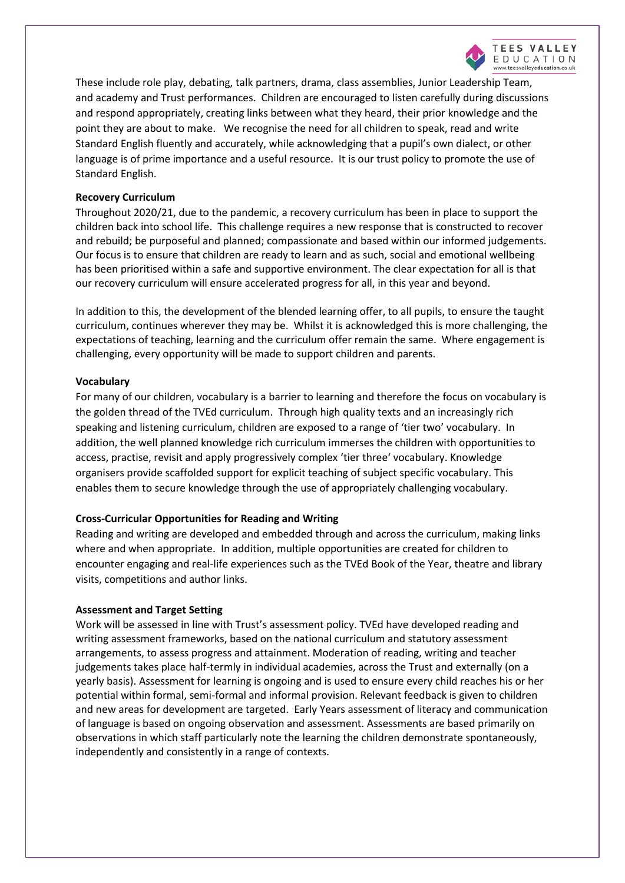

These include role play, debating, talk partners, drama, class assemblies, Junior Leadership Team, and academy and Trust performances. Children are encouraged to listen carefully during discussions and respond appropriately, creating links between what they heard, their prior knowledge and the point they are about to make. We recognise the need for all children to speak, read and write Standard English fluently and accurately, while acknowledging that a pupil's own dialect, or other language is of prime importance and a useful resource. It is our trust policy to promote the use of Standard English.

## **Recovery Curriculum**

Throughout 2020/21, due to the pandemic, a recovery curriculum has been in place to support the children back into school life. This challenge requires a new response that is constructed to recover and rebuild; be purposeful and planned; compassionate and based within our informed judgements. Our focus is to ensure that children are ready to learn and as such, social and emotional wellbeing has been prioritised within a safe and supportive environment. The clear expectation for all is that our recovery curriculum will ensure accelerated progress for all, in this year and beyond.

In addition to this, the development of the blended learning offer, to all pupils, to ensure the taught curriculum, continues wherever they may be. Whilst it is acknowledged this is more challenging, the expectations of teaching, learning and the curriculum offer remain the same. Where engagement is challenging, every opportunity will be made to support children and parents.

## **Vocabulary**

For many of our children, vocabulary is a barrier to learning and therefore the focus on vocabulary is the golden thread of the TVEd curriculum. Through high quality texts and an increasingly rich speaking and listening curriculum, children are exposed to a range of 'tier two' vocabulary. In addition, the well planned knowledge rich curriculum immerses the children with opportunities to access, practise, revisit and apply progressively complex 'tier three' vocabulary. Knowledge organisers provide scaffolded support for explicit teaching of subject specific vocabulary. This enables them to secure knowledge through the use of appropriately challenging vocabulary.

#### **Cross-Curricular Opportunities for Reading and Writing**

Reading and writing are developed and embedded through and across the curriculum, making links where and when appropriate. In addition, multiple opportunities are created for children to encounter engaging and real-life experiences such as the TVEd Book of the Year, theatre and library visits, competitions and author links.

#### **Assessment and Target Setting**

Work will be assessed in line with Trust's assessment policy. TVEd have developed reading and writing assessment frameworks, based on the national curriculum and statutory assessment arrangements, to assess progress and attainment. Moderation of reading, writing and teacher judgements takes place half-termly in individual academies, across the Trust and externally (on a yearly basis). Assessment for learning is ongoing and is used to ensure every child reaches his or her potential within formal, semi-formal and informal provision. Relevant feedback is given to children and new areas for development are targeted. Early Years assessment of literacy and communication of language is based on ongoing observation and assessment. Assessments are based primarily on observations in which staff particularly note the learning the children demonstrate spontaneously, independently and consistently in a range of contexts.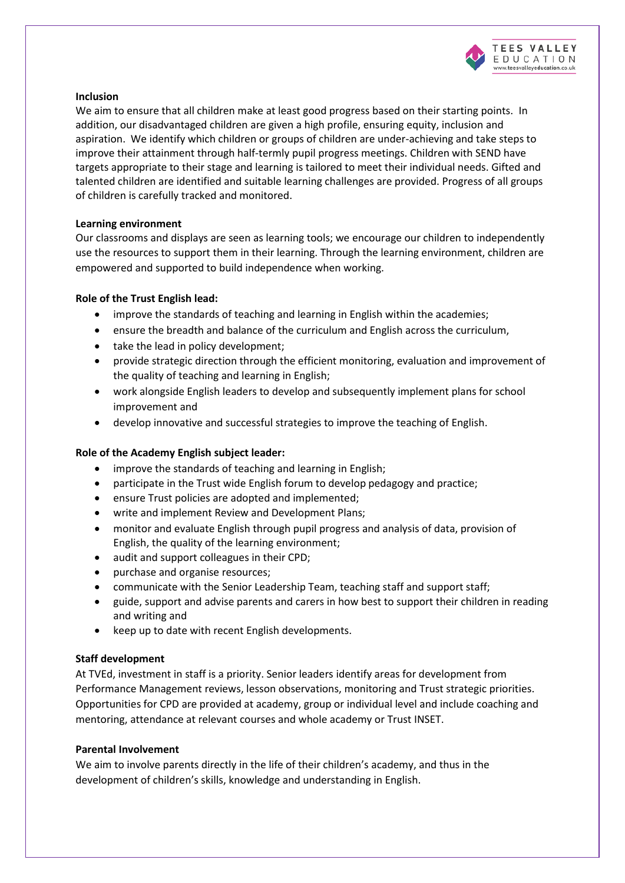

## **Inclusion**

We aim to ensure that all children make at least good progress based on their starting points. In addition, our disadvantaged children are given a high profile, ensuring equity, inclusion and aspiration. We identify which children or groups of children are under-achieving and take steps to improve their attainment through half-termly pupil progress meetings. Children with SEND have targets appropriate to their stage and learning is tailored to meet their individual needs. Gifted and talented children are identified and suitable learning challenges are provided. Progress of all groups of children is carefully tracked and monitored.

## **Learning environment**

Our classrooms and displays are seen as learning tools; we encourage our children to independently use the resources to support them in their learning. Through the learning environment, children are empowered and supported to build independence when working.

## **Role of the Trust English lead:**

- improve the standards of teaching and learning in English within the academies;
- ensure the breadth and balance of the curriculum and English across the curriculum,
- take the lead in policy development;
- provide strategic direction through the efficient monitoring, evaluation and improvement of the quality of teaching and learning in English;
- work alongside English leaders to develop and subsequently implement plans for school improvement and
- develop innovative and successful strategies to improve the teaching of English.

## **Role of the Academy English subject leader:**

- improve the standards of teaching and learning in English;
- participate in the Trust wide English forum to develop pedagogy and practice;
- ensure Trust policies are adopted and implemented;
- write and implement Review and Development Plans;
- monitor and evaluate English through pupil progress and analysis of data, provision of English, the quality of the learning environment;
- audit and support colleagues in their CPD;
- purchase and organise resources;
- communicate with the Senior Leadership Team, teaching staff and support staff;
- guide, support and advise parents and carers in how best to support their children in reading and writing and
- keep up to date with recent English developments.

#### **Staff development**

At TVEd, investment in staff is a priority. Senior leaders identify areas for development from Performance Management reviews, lesson observations, monitoring and Trust strategic priorities. Opportunities for CPD are provided at academy, group or individual level and include coaching and mentoring, attendance at relevant courses and whole academy or Trust INSET.

#### **Parental Involvement**

We aim to involve parents directly in the life of their children's academy, and thus in the development of children's skills, knowledge and understanding in English.